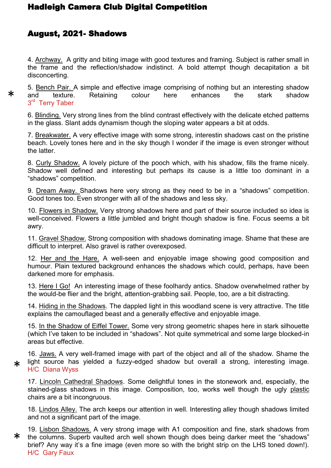## Hadleigh Camera Club Digital Competition

## August, 2021- Shadows

\*

4. Archway. A gritty and biting image with good textures and framing. Subject is rather small in the frame and the reflection/shadow indistinct. A bold attempt though decapitation a bit disconcerting.

5. Bench Pair. A simple and effective image comprising of nothing but an interesting shadow and texture. Retaining colour here enhances the stark shadow 3<sup>rd</sup> Terry Taber

6. Blinding. Very strong lines from the blind contrast effectively with the delicate etched patterns in the glass. Slant adds dynamism though the sloping water appears a bit at odds.

7. Breakwater. A very effective image with some strong, interestin shadows cast on the pristine beach. Lovely tones here and in the sky though I wonder if the image is even stronger without the latter.

8. Curly Shadow. A lovely picture of the pooch which, with his shadow, fills the frame nicely. Shadow well defined and interesting but perhaps its cause is a little too dominant in a "shadows" competition.

9. Dream Away. Shadows here very strong as they need to be in a "shadows" competition. Good tones too. Even stronger with all of the shadows and less sky.

10. Flowers in Shadow. Very strong shadows here and part of their source included so idea is well-conceived. Flowers a little jumbled and bright though shadow is fine. Focus seems a bit awry.

11. Gravel Shadow. Strong composition with shadows dominating image. Shame that these are difficult to interpret. Also gravel is rather overexposed.

12. Her and the Hare. A well-seen and enjoyable image showing good composition and humour. Plain textured background enhances the shadows which could, perhaps, have been darkened more for emphasis.

13. Here I Go! An interesting image of these foolhardy antics. Shadow overwhelmed rather by the would-be flier and the bright, attention-grabbing sail. People, too, are a bit distracting.

14. Hiding in the Shadows. The dappled light in this woodland scene is very attractive. The title explains the camouflaged beast and a generally effective and enjoyable image.

15. In the Shadow of Eiffel Tower. Some very strong geometric shapes here in stark silhouette (which I've taken to be included in "shadows". Not quite symmetrical and some large blocked-in areas but effective.

16. Jaws. A very well-framed image with part of the object and all of the shadow. Shame the light source has yielded a fuzzy-edged shadow but overall a strong, interesting image. H/C Diana Wyss \*

17. Lincoln Cathedral Shadows. Some delightful tones in the stonework and, especially, the stained-glass shadows in this image. Composition, too, works well though the ugly plastic chairs are a bit incongruous.

18. Lindos Alley. The arch keeps our attention in well. Interesting alley though shadows limited and not a significant part of the image.

19. Lisbon Shadows. A very strong image with A1 composition and fine, stark shadows from the columns. Superb vaulted arch well shown though does being darker meet the "shadows" brief? Any way it's a fine image (even more so with the bright strip on the LHS toned down!). H/C Gary Faux \*